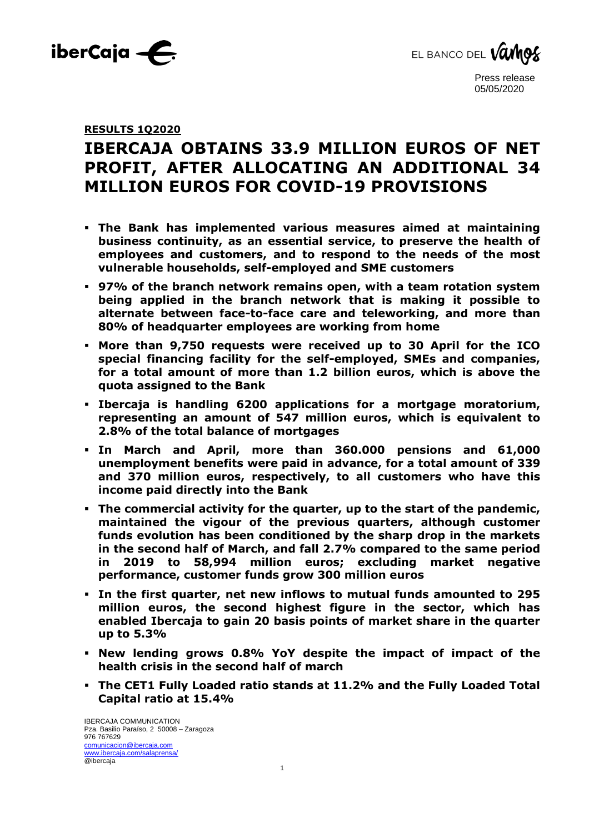



## **RESULTS 1Q2020**

# **IBERCAJA OBTAINS 33.9 MILLION EUROS OF NET PROFIT, AFTER ALLOCATING AN ADDITIONAL 34 MILLION EUROS FOR COVID-19 PROVISIONS**

- **The Bank has implemented various measures aimed at maintaining business continuity, as an essential service, to preserve the health of employees and customers, and to respond to the needs of the most vulnerable households, self-employed and SME customers**
- **97% of the branch network remains open, with a team rotation system being applied in the branch network that is making it possible to alternate between face-to-face care and teleworking, and more than 80% of headquarter employees are working from home**
- **More than 9,750 requests were received up to 30 April for the ICO special financing facility for the self-employed, SMEs and companies, for a total amount of more than 1.2 billion euros, which is above the quota assigned to the Bank**
- **Ibercaja is handling 6200 applications for a mortgage moratorium, representing an amount of 547 million euros, which is equivalent to 2.8% of the total balance of mortgages**
- **In March and April, more than 360.000 pensions and 61,000 unemployment benefits were paid in advance, for a total amount of 339 and 370 million euros, respectively, to all customers who have this income paid directly into the Bank**
- **The commercial activity for the quarter, up to the start of the pandemic, maintained the vigour of the previous quarters, although customer funds evolution has been conditioned by the sharp drop in the markets in the second half of March, and fall 2.7% compared to the same period in 2019 to 58,994 million euros; excluding market negative performance, customer funds grow 300 million euros**
- **In the first quarter, net new inflows to mutual funds amounted to 295 million euros, the second highest figure in the sector, which has enabled Ibercaja to gain 20 basis points of market share in the quarter up to 5.3%**
- **New lending grows 0.8% YoY despite the impact of impact of the health crisis in the second half of march**
- **The CET1 Fully Loaded ratio stands at 11.2% and the Fully Loaded Total Capital ratio at 15.4%**

1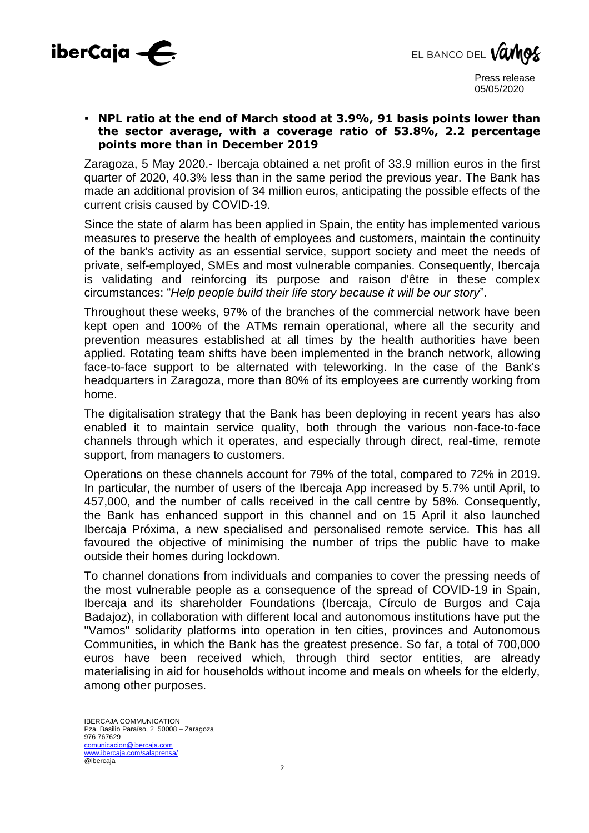



## ▪ **NPL ratio at the end of March stood at 3.9%, 91 basis points lower than the sector average, with a coverage ratio of 53.8%, 2.2 percentage points more than in December 2019**

Zaragoza, 5 May 2020.- Ibercaja obtained a net profit of 33.9 million euros in the first quarter of 2020, 40.3% less than in the same period the previous year. The Bank has made an additional provision of 34 million euros, anticipating the possible effects of the current crisis caused by COVID-19.

Since the state of alarm has been applied in Spain, the entity has implemented various measures to preserve the health of employees and customers, maintain the continuity of the bank's activity as an essential service, support society and meet the needs of private, self-employed, SMEs and most vulnerable companies. Consequently, Ibercaja is validating and reinforcing its purpose and raison d'être in these complex circumstances: "*Help people build their life story because it will be our story*".

Throughout these weeks, 97% of the branches of the commercial network have been kept open and 100% of the ATMs remain operational, where all the security and prevention measures established at all times by the health authorities have been applied. Rotating team shifts have been implemented in the branch network, allowing face-to-face support to be alternated with teleworking. In the case of the Bank's headquarters in Zaragoza, more than 80% of its employees are currently working from home.

The digitalisation strategy that the Bank has been deploying in recent years has also enabled it to maintain service quality, both through the various non-face-to-face channels through which it operates, and especially through direct, real-time, remote support, from managers to customers.

Operations on these channels account for 79% of the total, compared to 72% in 2019. In particular, the number of users of the Ibercaja App increased by 5.7% until April, to 457,000, and the number of calls received in the call centre by 58%. Consequently, the Bank has enhanced support in this channel and on 15 April it also launched Ibercaja Próxima, a new specialised and personalised remote service. This has all favoured the objective of minimising the number of trips the public have to make outside their homes during lockdown.

To channel donations from individuals and companies to cover the pressing needs of the most vulnerable people as a consequence of the spread of COVID-19 in Spain, Ibercaja and its shareholder Foundations (Ibercaja, Círculo de Burgos and Caja Badajoz), in collaboration with different local and autonomous institutions have put the "Vamos" solidarity platforms into operation in ten cities, provinces and Autonomous Communities, in which the Bank has the greatest presence. So far, a total of 700,000 euros have been received which, through third sector entities, are already materialising in aid for households without income and meals on wheels for the elderly, among other purposes.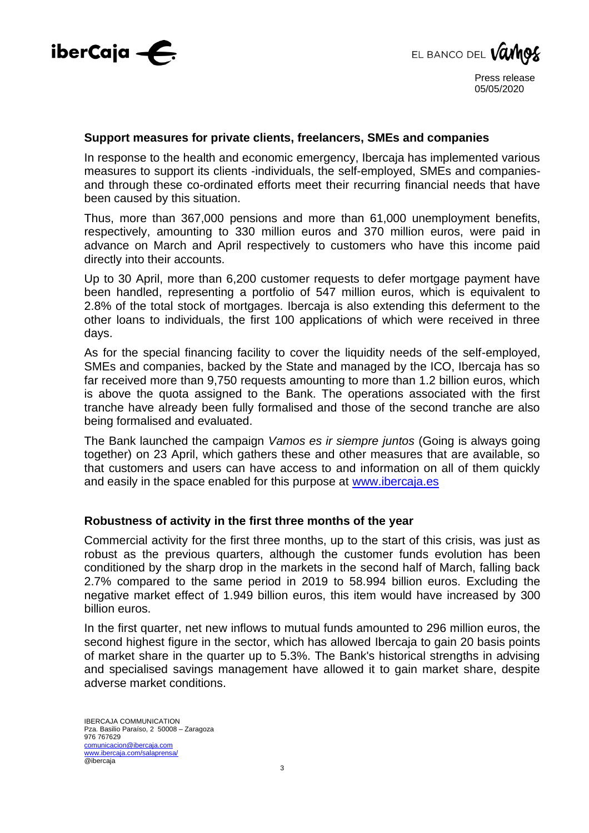



#### **Support measures for private clients, freelancers, SMEs and companies**

In response to the health and economic emergency, Ibercaja has implemented various measures to support its clients -individuals, the self-employed, SMEs and companiesand through these co-ordinated efforts meet their recurring financial needs that have been caused by this situation.

Thus, more than 367,000 pensions and more than 61,000 unemployment benefits, respectively, amounting to 330 million euros and 370 million euros, were paid in advance on March and April respectively to customers who have this income paid directly into their accounts.

Up to 30 April, more than 6,200 customer requests to defer mortgage payment have been handled, representing a portfolio of 547 million euros, which is equivalent to 2.8% of the total stock of mortgages. Ibercaja is also extending this deferment to the other loans to individuals, the first 100 applications of which were received in three days.

As for the special financing facility to cover the liquidity needs of the self-employed, SMEs and companies, backed by the State and managed by the ICO, Ibercaja has so far received more than 9,750 requests amounting to more than 1.2 billion euros, which is above the quota assigned to the Bank. The operations associated with the first tranche have already been fully formalised and those of the second tranche are also being formalised and evaluated.

The Bank launched the campaign *Vamos es ir siempre juntos* (Going is always going together) on 23 April, which gathers these and other measures that are available, so that customers and users can have access to and information on all of them quickly and easily in the space enabled for this purpose at www.ibercaja.es

## **Robustness of activity in the first three months of the year**

Commercial activity for the first three months, up to the start of this crisis, was just as robust as the previous quarters, although the customer funds evolution has been conditioned by the sharp drop in the markets in the second half of March, falling back 2.7% compared to the same period in 2019 to 58.994 billion euros. Excluding the negative market effect of 1.949 billion euros, this item would have increased by 300 billion euros.

In the first quarter, net new inflows to mutual funds amounted to 296 million euros, the second highest figure in the sector, which has allowed Ibercaja to gain 20 basis points of market share in the quarter up to 5.3%. The Bank's historical strengths in advising and specialised savings management have allowed it to gain market share, despite adverse market conditions.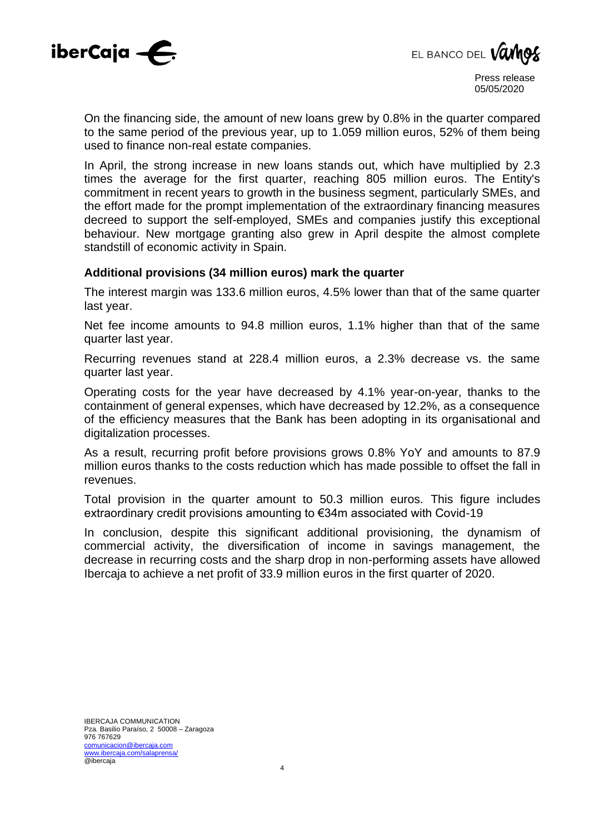



On the financing side, the amount of new loans grew by 0.8% in the quarter compared to the same period of the previous year, up to 1.059 million euros, 52% of them being used to finance non-real estate companies.

In April, the strong increase in new loans stands out, which have multiplied by 2.3 times the average for the first quarter, reaching 805 million euros. The Entity's commitment in recent years to growth in the business segment, particularly SMEs, and the effort made for the prompt implementation of the extraordinary financing measures decreed to support the self-employed, SMEs and companies justify this exceptional behaviour. New mortgage granting also grew in April despite the almost complete standstill of economic activity in Spain.

## **Additional provisions (34 million euros) mark the quarter**

The interest margin was 133.6 million euros, 4.5% lower than that of the same quarter last year.

Net fee income amounts to 94.8 million euros, 1.1% higher than that of the same quarter last year.

Recurring revenues stand at 228.4 million euros, a 2.3% decrease vs. the same quarter last year.

Operating costs for the year have decreased by 4.1% year-on-year, thanks to the containment of general expenses, which have decreased by 12.2%, as a consequence of the efficiency measures that the Bank has been adopting in its organisational and digitalization processes.

As a result, recurring profit before provisions grows 0.8% YoY and amounts to 87.9 million euros thanks to the costs reduction which has made possible to offset the fall in revenues.

Total provision in the quarter amount to 50.3 million euros. This figure includes extraordinary credit provisions amounting to €34m associated with Covid-19

In conclusion, despite this significant additional provisioning, the dynamism of commercial activity, the diversification of income in savings management, the decrease in recurring costs and the sharp drop in non-performing assets have allowed Ibercaja to achieve a net profit of 33.9 million euros in the first quarter of 2020.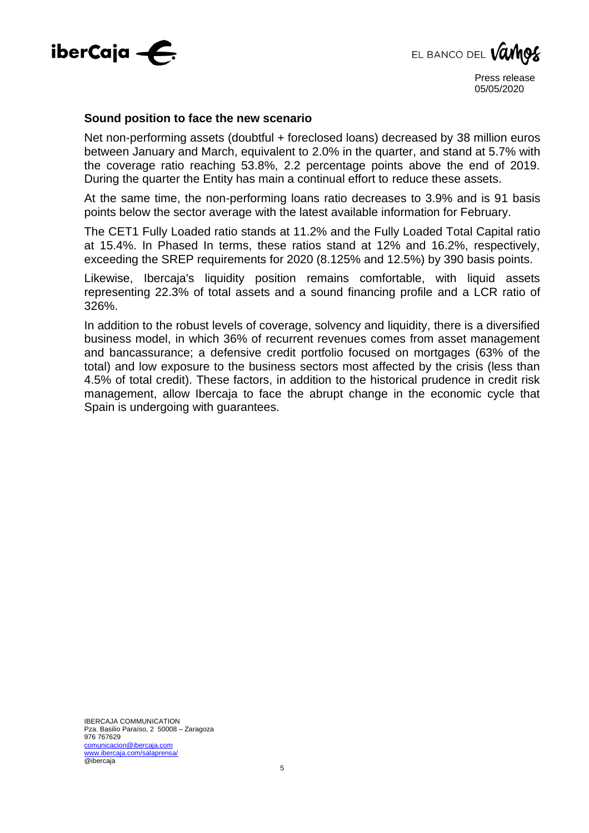

EL BANCO DEL **Vamos** 

#### **Sound position to face the new scenario**

Net non-performing assets (doubtful + foreclosed loans) decreased by 38 million euros between January and March, equivalent to 2.0% in the quarter, and stand at 5.7% with the coverage ratio reaching 53.8%, 2.2 percentage points above the end of 2019. During the quarter the Entity has main a continual effort to reduce these assets.

At the same time, the non-performing loans ratio decreases to 3.9% and is 91 basis points below the sector average with the latest available information for February.

The CET1 Fully Loaded ratio stands at 11.2% and the Fully Loaded Total Capital ratio at 15.4%. In Phased In terms, these ratios stand at 12% and 16.2%, respectively, exceeding the SREP requirements for 2020 (8.125% and 12.5%) by 390 basis points.

Likewise, Ibercaja's liquidity position remains comfortable, with liquid assets representing 22.3% of total assets and a sound financing profile and a LCR ratio of 326%.

In addition to the robust levels of coverage, solvency and liquidity, there is a diversified business model, in which 36% of recurrent revenues comes from asset management and bancassurance; a defensive credit portfolio focused on mortgages (63% of the total) and low exposure to the business sectors most affected by the crisis (less than 4.5% of total credit). These factors, in addition to the historical prudence in credit risk management, allow Ibercaja to face the abrupt change in the economic cycle that Spain is undergoing with guarantees.